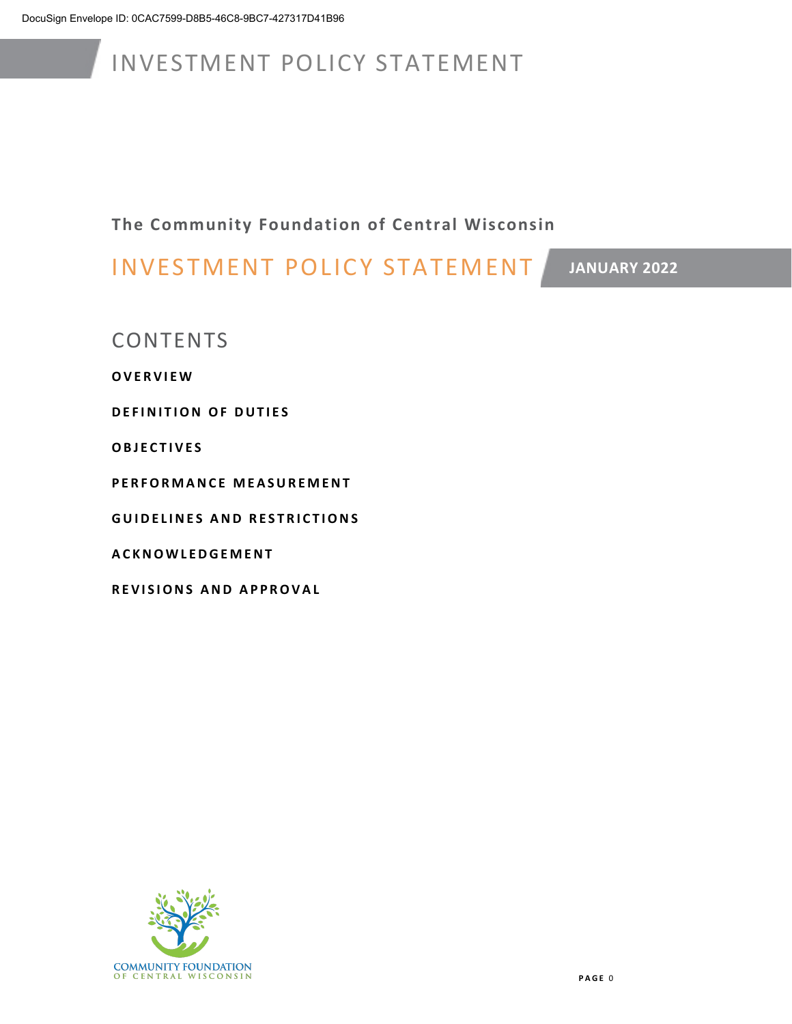**The Community Foundation of Central Wisconsin**

INVESTMENT POLICY STATEMENT

**JANUARY 2022**

**CONTENTS** 

**OVERVIEW** 

**DEFINITION OF DUTIES**

**OBJECTIVES** 

**PERFORMANCE MEASUREMENT**

**GUIDELINES AND RESTRICTIONS** 

**ACKNOWLEDGEMENT**

**REVISIONS AND APPROVAL**

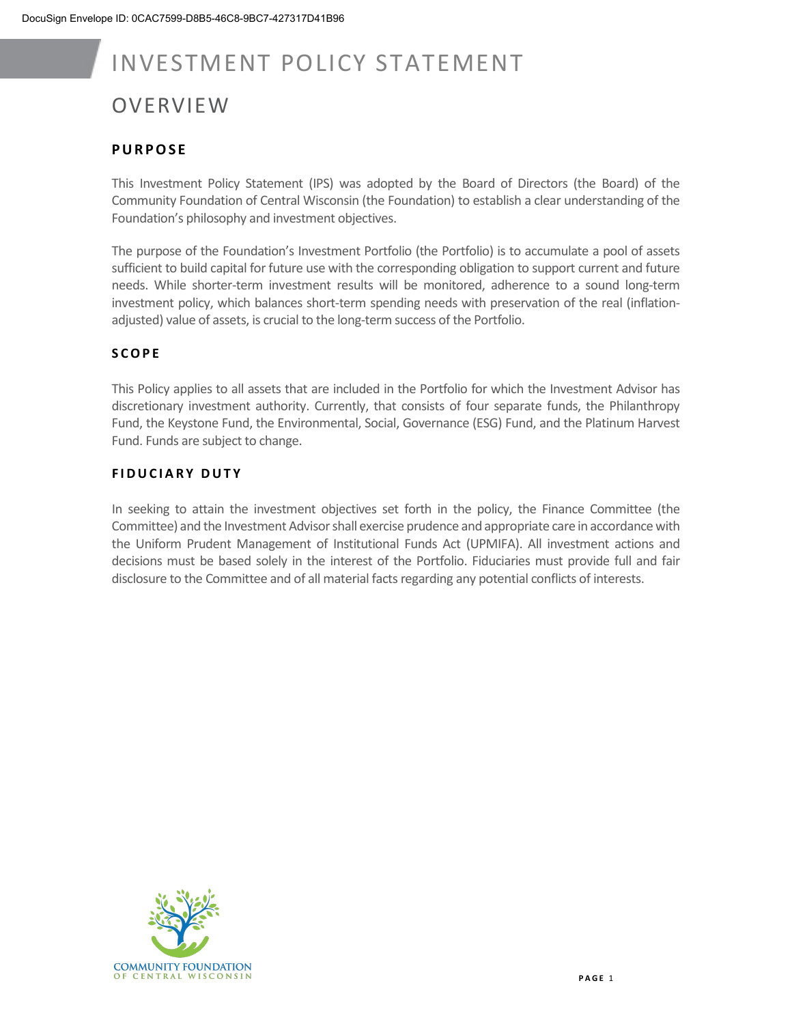### **OVERVIEW**

#### **PURPOSE**

This Investment Policy Statement (IPS) was adopted by the Board of Directors (the Board) of the Community Foundation of Central Wisconsin (the Foundation) to establish a clear understanding of the Foundation's philosophy and investment objectives.

The purpose of the Foundation's Investment Portfolio (the Portfolio) is to accumulate a pool of assets sufficient to build capital for future use with the corresponding obligation to support current and future needs. While shorter-term investment results will be monitored, adherence to a sound long-term investment policy, which balances short-term spending needs with preservation of the real (inflationadjusted) value of assets, is crucial to the long-term success of the Portfolio.

#### **SCOPE**

This Policy applies to all assets that are included in the Portfolio for which the Investment Advisor has discretionary investment authority. Currently, that consists of four separate funds, the Philanthropy Fund, the Keystone Fund, the Environmental, Social, Governance (ESG) Fund, and the Platinum Harvest Fund. Funds are subject to change.

#### **FIDUCIARY DUTY**

In seeking to attain the investment objectives set forth in the policy, the Finance Committee (the Committee) and the Investment Advisor shall exercise prudence and appropriate care in accordance with the Uniform Prudent Management of Institutional Funds Act (UPMIFA). All investment actions and decisions must be based solely in the interest of the Portfolio. Fiduciaries must provide full and fair disclosure to the Committee and of all material facts regarding any potential conflicts of interests.

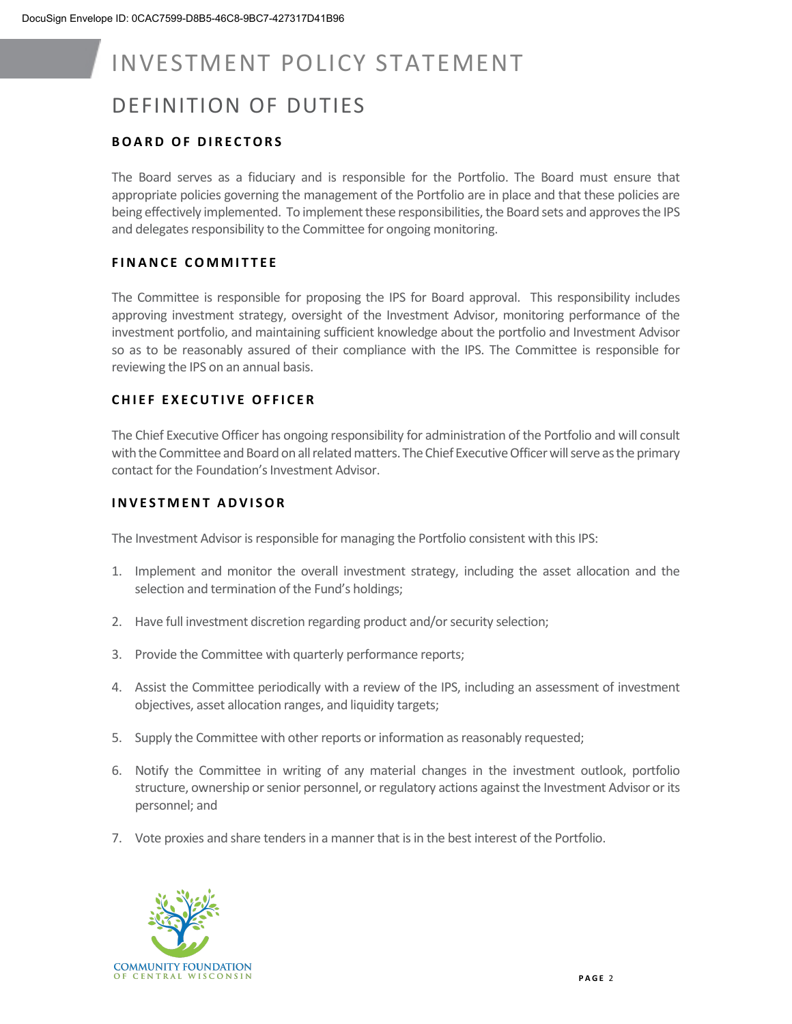### DEFINITION OF DUTIES

#### **BOARD OF DIR ECTORS**

The Board serves as a fiduciary and is responsible for the Portfolio. The Board must ensure that appropriate policies governing the management of the Portfolio are in place and that these policies are being effectively implemented. To implement these responsibilities, the Board sets and approves the IPS and delegates responsibility to the Committee for ongoing monitoring.

#### **FINANC E COMMITTEE**

The Committee is responsible for proposing the IPS for Board approval. This responsibility includes approving investment strategy, oversight of the Investment Advisor, monitoring performance of the investment portfolio, and maintaining sufficient knowledge about the portfolio and Investment Advisor so as to be reasonably assured of their compliance with the IPS. The Committee is responsible for reviewing the IPS on an annual basis.

#### **CHIEF EXECUTIVE OFFICER**

The Chief Executive Officer has ongoing responsibility for administration of the Portfolio and will consult with the Committee and Board on all related matters. The Chief Executive Officer will serve as the primary contact for the Foundation's Investment Advisor.

#### **INVESTMENT ADVISOR**

The Investment Advisor is responsible for managing the Portfolio consistent with this IPS:

- 1. Implement and monitor the overall investment strategy, including the asset allocation and the selection and termination of the Fund's holdings;
- 2. Have full investment discretion regarding product and/or security selection;
- 3. Provide the Committee with quarterly performance reports;
- 4. Assist the Committee periodically with a review of the IPS, including an assessment of investment objectives, asset allocation ranges, and liquidity targets;
- 5. Supply the Committee with other reports or information as reasonably requested;
- 6. Notify the Committee in writing of any material changes in the investment outlook, portfolio structure, ownership or senior personnel, or regulatory actions against the Investment Advisor or its personnel; and
- 7. Vote proxies and share tenders in a manner that is in the best interest of the Portfolio.

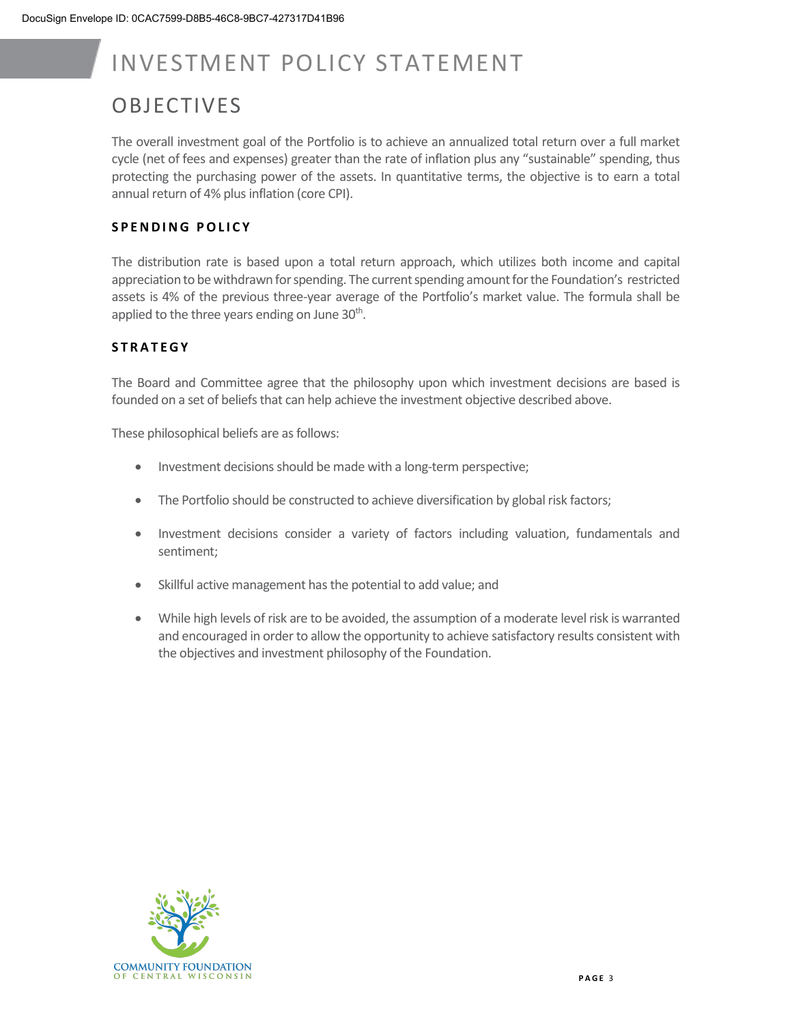### **OBJECTIVES**

The overall investment goal of the Portfolio is to achieve an annualized total return over a full market cycle (net of fees and expenses) greater than the rate of inflation plus any "sustainable" spending, thus protecting the purchasing power of the assets. In quantitative terms, the objective is to earn a total annual return of 4% plus inflation (core CPI).

#### **SPENDING POLICY**

The distribution rate is based upon a total return approach, which utilizes both income and capital appreciation to be withdrawn for spending. The current spending amount for the Foundation's restricted assets is 4% of the previous three-year average of the Portfolio's market value. The formula shall be applied to the three years ending on June  $30<sup>th</sup>$ .

#### **STRATEGY**

The Board and Committee agree that the philosophy upon which investment decisions are based is founded on a set of beliefs that can help achieve the investment objective described above.

These philosophical beliefs are as follows:

- Investment decisions should be made with a long-term perspective;
- The Portfolio should be constructed to achieve diversification by global risk factors;
- Investment decisions consider a variety of factors including valuation, fundamentals and sentiment;
- Skillful active management has the potential to add value; and
- While high levels of risk are to be avoided, the assumption of a moderate level risk is warranted and encouraged in order to allow the opportunity to achieve satisfactory results consistent with the objectives and investment philosophy of the Foundation.

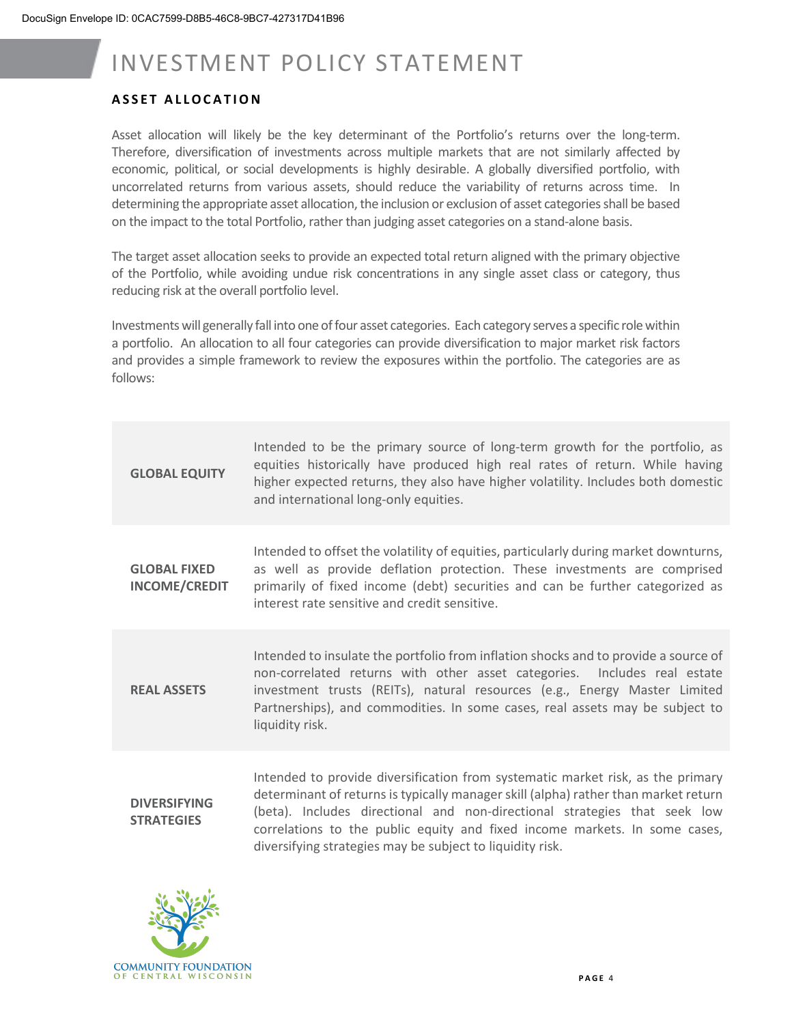#### **ASSET ALLOCATION**

Asset allocation will likely be the key determinant of the Portfolio's returns over the long-term. Therefore, diversification of investments across multiple markets that are not similarly affected by economic, political, or social developments is highly desirable. A globally diversified portfolio, with uncorrelated returns from various assets, should reduce the variability of returns across time. In determining the appropriate asset allocation, the inclusion or exclusion of asset categories shall be based on the impact to the total Portfolio, rather than judging asset categories on a stand-alone basis.

The target asset allocation seeks to provide an expected total return aligned with the primary objective of the Portfolio, while avoiding undue risk concentrations in any single asset class or category, thus reducing risk at the overall portfolio level.

Investments will generally fall into one of four asset categories. Each category serves a specific role within a portfolio. An allocation to all four categories can provide diversification to major market risk factors and provides a simple framework to review the exposures within the portfolio. The categories are as follows:

| <b>GLOBAL EQUITY</b>                        | Intended to be the primary source of long-term growth for the portfolio, as<br>equities historically have produced high real rates of return. While having<br>higher expected returns, they also have higher volatility. Includes both domestic<br>and international long-only equities.                                                                                                       |
|---------------------------------------------|------------------------------------------------------------------------------------------------------------------------------------------------------------------------------------------------------------------------------------------------------------------------------------------------------------------------------------------------------------------------------------------------|
| <b>GLOBAL FIXED</b><br><b>INCOME/CREDIT</b> | Intended to offset the volatility of equities, particularly during market downturns,<br>as well as provide deflation protection. These investments are comprised<br>primarily of fixed income (debt) securities and can be further categorized as<br>interest rate sensitive and credit sensitive.                                                                                             |
| <b>REAL ASSETS</b>                          | Intended to insulate the portfolio from inflation shocks and to provide a source of<br>non-correlated returns with other asset categories. Includes real estate<br>investment trusts (REITs), natural resources (e.g., Energy Master Limited<br>Partnerships), and commodities. In some cases, real assets may be subject to<br>liquidity risk.                                                |
| <b>DIVERSIFYING</b><br><b>STRATEGIES</b>    | Intended to provide diversification from systematic market risk, as the primary<br>determinant of returns is typically manager skill (alpha) rather than market return<br>(beta). Includes directional and non-directional strategies that seek low<br>correlations to the public equity and fixed income markets. In some cases,<br>diversifying strategies may be subject to liquidity risk. |

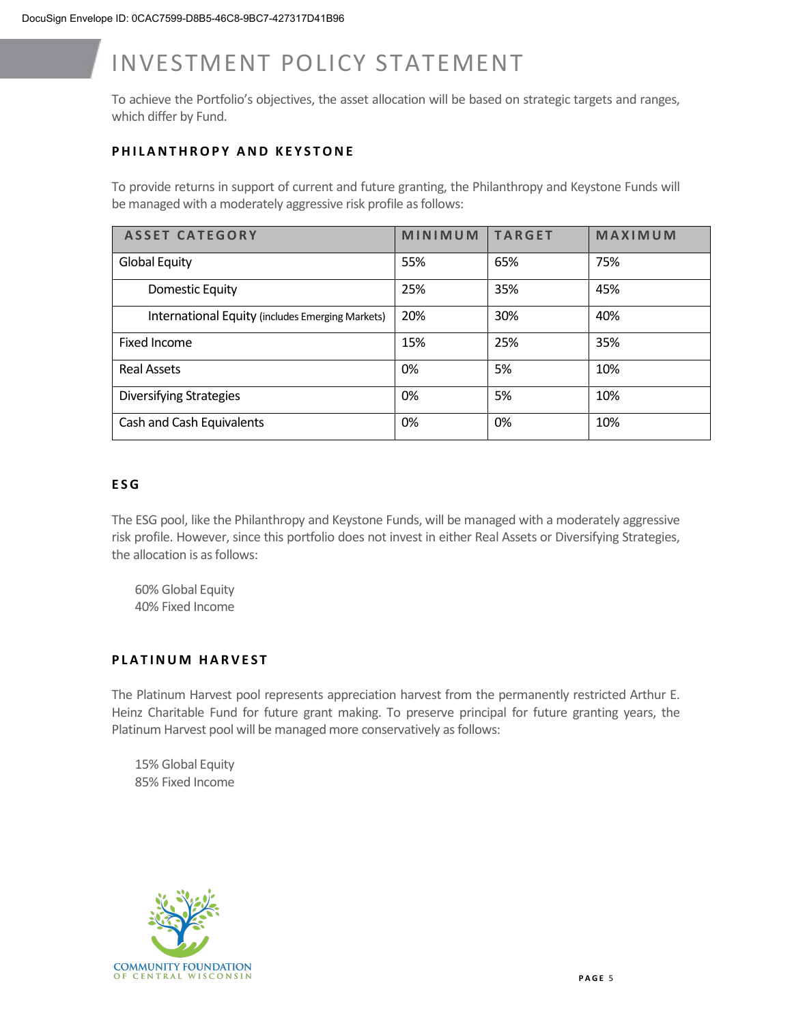To achieve the Portfolio's objectives, the asset allocation will be based on strategic targets and ranges, which differ by Fund.

#### **PHILANTHROPY AND KEYSTONE**

To provide returns in support of current and future granting, the Philanthropy and Keystone Funds will be managed with a moderately aggressive risk profile as follows:

| <b>ASSET CATEGORY</b>                            | MINIMUM | <b>TARGET</b> | MAXIMUM |
|--------------------------------------------------|---------|---------------|---------|
| <b>Global Equity</b>                             | 55%     | 65%           | 75%     |
| Domestic Equity                                  | 25%     | 35%           | 45%     |
| International Equity (includes Emerging Markets) | 20%     | 30%           | 40%     |
| Fixed Income                                     | 15%     | 25%           | 35%     |
| <b>Real Assets</b>                               | 0%      | 5%            | 10%     |
| <b>Diversifying Strategies</b>                   | 0%      | 5%            | 10%     |
| Cash and Cash Equivalents                        | 0%      | 0%            | 10%     |

#### **E S G**

The ESG pool, like the Philanthropy and Keystone Funds, will be managed with a moderately aggressive risk profile. However, since this portfolio does not invest in either Real Assets or Diversifying Strategies, the allocation is as follows:

60% Global Equity 40% Fixed Income

#### **PLATINUM HARVEST**

The Platinum Harvest pool represents appreciation harvest from the permanently restricted Arthur E. Heinz Charitable Fund for future grant making. To preserve principal for future granting years, the Platinum Harvest pool will be managed more conservatively as follows:

15% Global Equity 85% Fixed Income

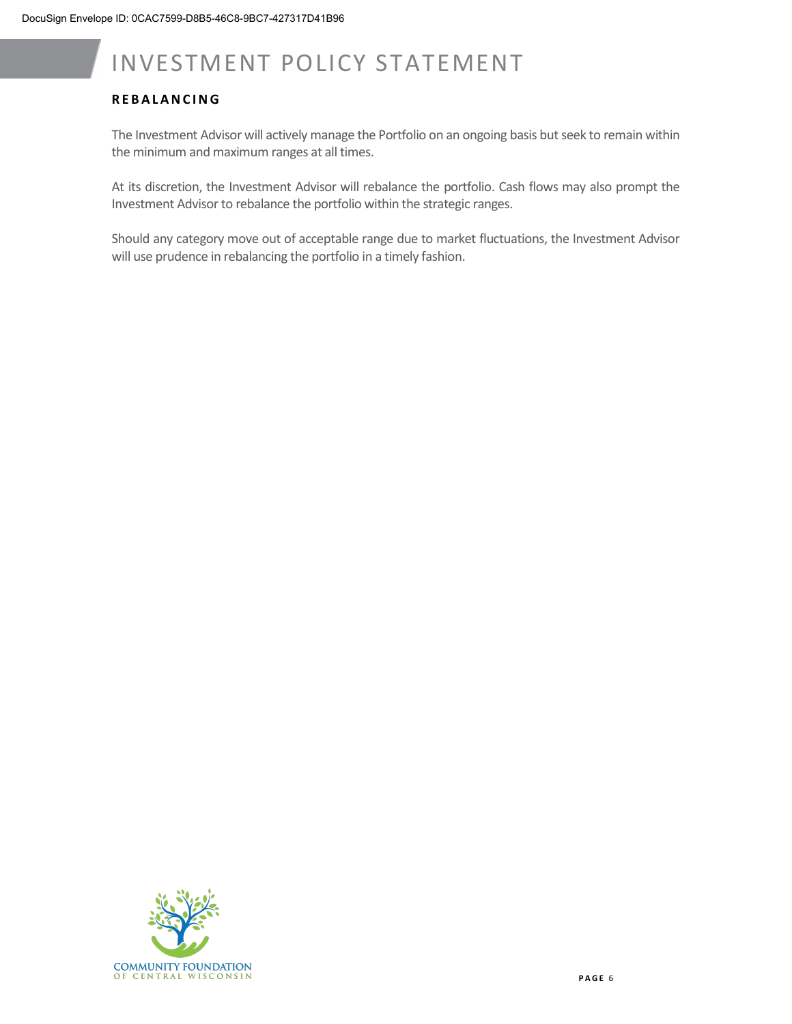#### **REBALANCING**

The Investment Advisor will actively manage the Portfolio on an ongoing basis but seek to remain within the minimum and maximum ranges at all times.

At its discretion, the Investment Advisor will rebalance the portfolio. Cash flows may also prompt the Investment Advisor to rebalance the portfolio within the strategic ranges.

Should any category move out of acceptable range due to market fluctuations, the Investment Advisor will use prudence in rebalancing the portfolio in a timely fashion.

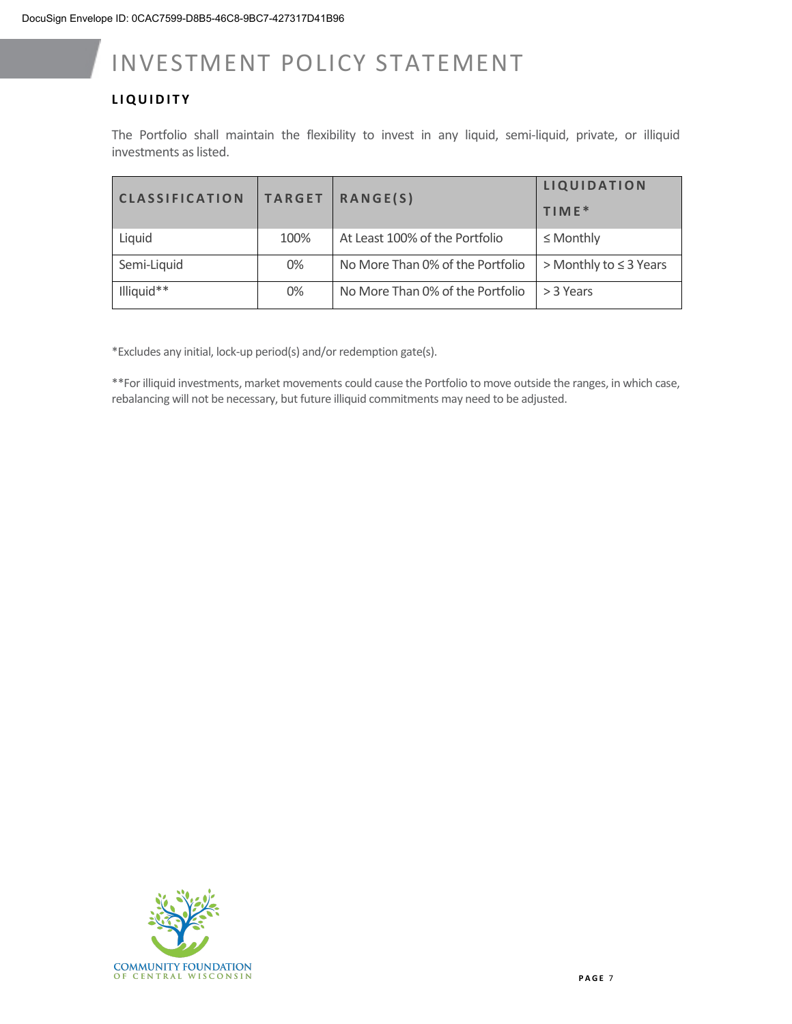#### **LIQUIDITY**

The Portfolio shall maintain the flexibility to invest in any liquid, semi-liquid, private, or illiquid investments as listed.

| <b>CLASSIFICATION</b> | <b>TARGET</b> | <b>RANGE(S)</b>                  | <b>LIQUIDATION</b><br>$TIME*$ |
|-----------------------|---------------|----------------------------------|-------------------------------|
| Liquid                | 100%          | At Least 100% of the Portfolio   | $\leq$ Monthly                |
| Semi-Liquid           | 0%            | No More Than 0% of the Portfolio | > Monthly to $\leq$ 3 Years   |
| Illiquid**            | 0%            | No More Than 0% of the Portfolio | > 3 Years                     |

\*Excludes any initial, lock-up period(s) and/or redemption gate(s).

\*\*For illiquid investments, market movements could cause the Portfolio to move outside the ranges, in which case, rebalancing will not be necessary, but future illiquid commitments may need to be adjusted.

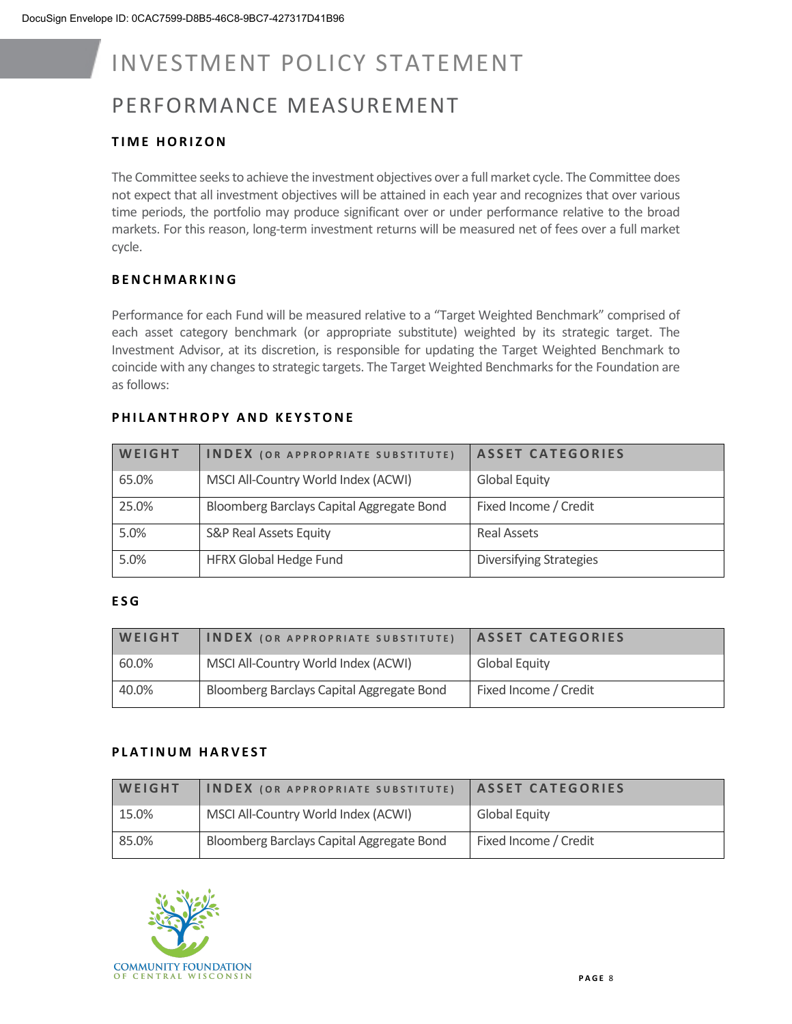### PERFORMANCE MEASUREMENT

#### **TIME HORIZON**

The Committee seeks to achieve the investment objectives over a full market cycle. The Committee does not expect that all investment objectives will be attained in each year and recognizes that over various time periods, the portfolio may produce significant over or under performance relative to the broad markets. For this reason, long-term investment returns will be measured net of fees over a full market cycle.

#### **BENCHMARK ING**

Performance for each Fund will be measured relative to a "Target Weighted Benchmark" comprised of each asset category benchmark (or appropriate substitute) weighted by its strategic target. The Investment Advisor, at its discretion, is responsible for updating the Target Weighted Benchmark to coincide with any changes to strategic targets. The Target Weighted Benchmarks for the Foundation are as follows:

#### **PHILANTHROPY AND KEYSTONE**

| WEIGHT | <b>INDEX</b> (OR APPROPRIATE SUBSTITUTE)  | <b>ASSET CATEGORIES</b>        |
|--------|-------------------------------------------|--------------------------------|
| 65.0%  | MSCI All-Country World Index (ACWI)       | <b>Global Equity</b>           |
| 25.0%  | Bloomberg Barclays Capital Aggregate Bond | Fixed Income / Credit          |
| 5.0%   | <b>S&amp;P Real Assets Equity</b>         | <b>Real Assets</b>             |
| 5.0%   | <b>HFRX Global Hedge Fund</b>             | <b>Diversifying Strategies</b> |

#### **ESG**

| <b>WEIGHT</b> | <b>INDEX</b> (OR APPROPRIATE SUBSTITUTE)  | <b>ASSET CATEGORIES</b> |
|---------------|-------------------------------------------|-------------------------|
| 60.0%         | MSCI All-Country World Index (ACWI)       | <b>Global Equity</b>    |
| 40.0%         | Bloomberg Barclays Capital Aggregate Bond | Fixed Income / Credit   |

#### **PLATINUM HARVEST**

| WEIGHT | <b>INDEX</b> (OR APPROPRIATE SUBSTITUTE)  | <b>ASSET CATEGORIES</b> |
|--------|-------------------------------------------|-------------------------|
| 15.0%  | MSCI All-Country World Index (ACWI)       | <b>Global Equity</b>    |
| 85.0%  | Bloomberg Barclays Capital Aggregate Bond | Fixed Income / Credit   |

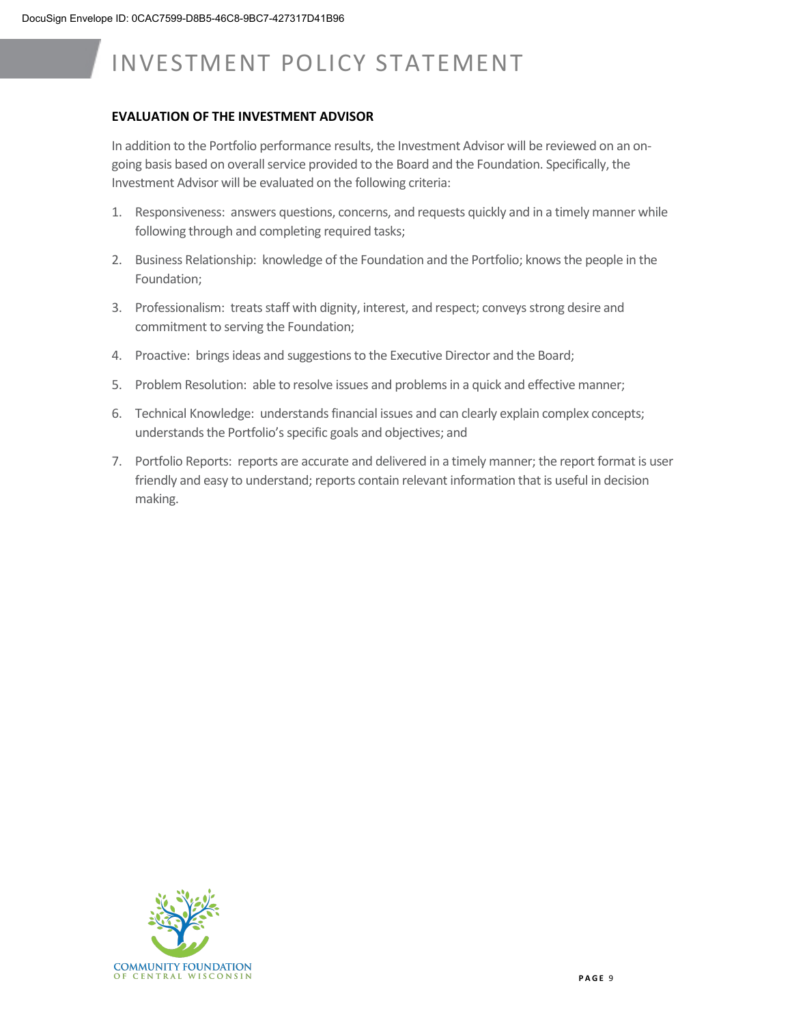#### **EVALUATION OF THE INVESTMENT ADVISOR**

In addition to the Portfolio performance results, the Investment Advisor will be reviewed on an ongoing basis based on overall service provided to the Board and the Foundation. Specifically, the Investment Advisor will be evaluated on the following criteria:

- 1. Responsiveness: answers questions, concerns, and requests quickly and in a timely manner while following through and completing required tasks;
- 2. Business Relationship: knowledge of the Foundation and the Portfolio; knows the people in the Foundation;
- 3. Professionalism: treats staff with dignity, interest, and respect; conveys strong desire and commitment to serving the Foundation;
- 4. Proactive: brings ideas and suggestions to the Executive Director and the Board;
- 5. Problem Resolution: able to resolve issues and problems in a quick and effective manner;
- 6. Technical Knowledge: understands financial issues and can clearly explain complex concepts; understands the Portfolio's specific goals and objectives; and
- 7. Portfolio Reports: reports are accurate and delivered in a timely manner; the report format is user friendly and easy to understand; reports contain relevant information that is useful in decision making.